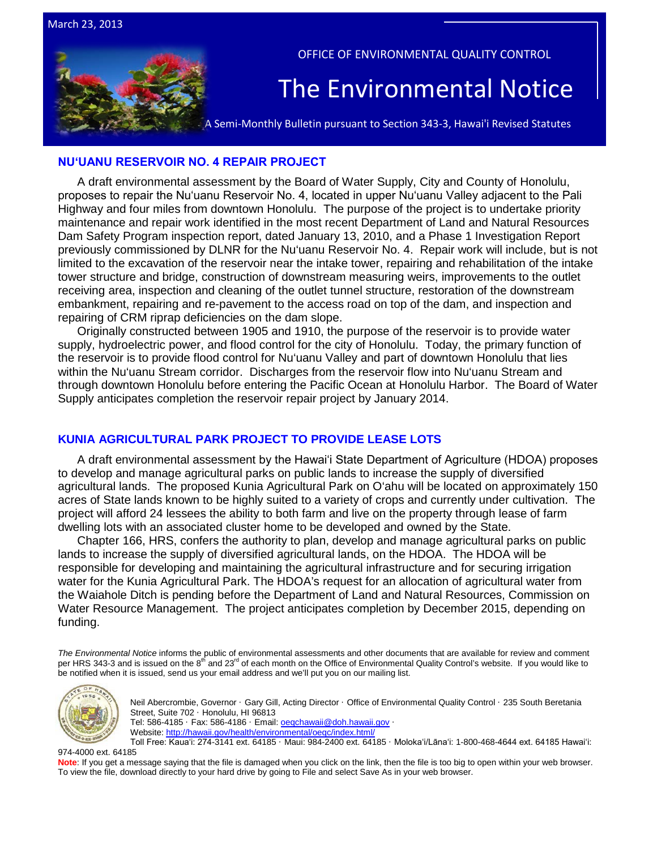

OFFICE OF ENVIRONMENTAL QUALITY CONTROL

# The Environmental Notice

A Semi-Monthly Bulletin pursuant to Section 343-3, Hawai'i Revised Statutes

#### **[NUʻUANU RESERVOIR NO. 4 REPAIR PROJECT](http://oeqc.doh.hawaii.gov/Shared%20Documents/EA_and_EIS_Online_Library/Oahu/2010s/2013-03-23-OA-5B-DEA-Nuuanu-Reservoir-No-4-Repair-Project.pdf)**

A draft environmental assessment by the Board of Water Supply, City and County of Honolulu, proposes to repair the Nuʻuanu Reservoir No. 4, located in upper Nuʻuanu Valley adjacent to the Pali Highway and four miles from downtown Honolulu. The purpose of the project is to undertake priority maintenance and repair work identified in the most recent Department of Land and Natural Resources Dam Safety Program inspection report, dated January 13, 2010, and a Phase 1 Investigation Report previously commissioned by DLNR for the Nu'uanu Reservoir No. 4. Repair work will include, but is not limited to the excavation of the reservoir near the intake tower, repairing and rehabilitation of the intake tower structure and bridge, construction of downstream measuring weirs, improvements to the outlet receiving area, inspection and cleaning of the outlet tunnel structure, restoration of the downstream embankment, repairing and re-pavement to the access road on top of the dam, and inspection and repairing of CRM riprap deficiencies on the dam slope.

Originally constructed between 1905 and 1910, the purpose of the reservoir is to provide water supply, hydroelectric power, and flood control for the city of Honolulu. Today, the primary function of the reservoir is to provide flood control for Nu'uanu Valley and part of downtown Honolulu that lies within the Nu'uanu Stream corridor. Discharges from the reservoir flow into Nu'uanu Stream and through downtown Honolulu before entering the Pacific Ocean at Honolulu Harbor. The Board of Water Supply anticipates completion the reservoir repair project by January 2014.

# **[KUNIA AGRICULTURAL PARK PROJECT TO PROVIDE LEASE LOTS](http://oeqc.doh.hawaii.gov/Shared%20Documents/EA_and_EIS_Online_Library/Oahu/2010s/2013-03-23-OA-5B-DEA-Kunia-Agricultural-Park.pdf)**

A draft environmental assessment by the Hawaiʻi State Department of Agriculture (HDOA) proposes to develop and manage agricultural parks on public lands to increase the supply of diversified agricultural lands. The proposed Kunia Agricultural Park on O'ahu will be located on approximately 150 acres of State lands known to be highly suited to a variety of crops and currently under cultivation. The project will afford 24 lessees the ability to both farm and live on the property through lease of farm dwelling lots with an associated cluster home to be developed and owned by the State.

Chapter 166, HRS, confers the authority to plan, develop and manage agricultural parks on public lands to increase the supply of diversified agricultural lands, on the HDOA. The HDOA will be responsible for developing and maintaining the agricultural infrastructure and for securing irrigation water for the Kunia Agricultural Park. The HDOA's request for an allocation of agricultural water from the Waiahole Ditch is pending before the Department of Land and Natural Resources, Commission on Water Resource Management. The project anticipates completion by December 2015, depending on funding.

*The Environmental Notice* informs the public of environmental assessments and other documents that are available for review and comment per HRS 343-3 and is issued on the 8<sup>th</sup> and 23<sup>rd</sup> of each month on the Office of Environmental Quality Control's website. If you would like to be notified when it is issued, send us your email address and we'll put you on our mailing list.



Neil Abercrombie, Governor · Gary Gill, Acting Director · Office of Environmental Quality Control · 235 South Beretania Street, Suite 702 · Honolulu, HI 96813 Tel: 586-4185 · Fax: 586-4186 · Email[: oeqchawaii@doh.hawaii.gov](mailto:oeqchawaii@doh.hawaii.gov) · Website:<http://hawaii.gov/health/environmental/oeqc/index.html/>

Toll Free: Kauaʻi: 274-3141 ext. 64185 · Maui: 984-2400 ext. 64185 · Molokaʻi/Lānaʻi: 1-800-468-4644 ext. 64185 Hawaiʻi:

974-4000 ext. 64185

Note: If you get a message saying that the file is damaged when you click on the link, then the file is too big to open within your web browser. To view the file, download directly to your hard drive by going to File and select Save As in your web browser.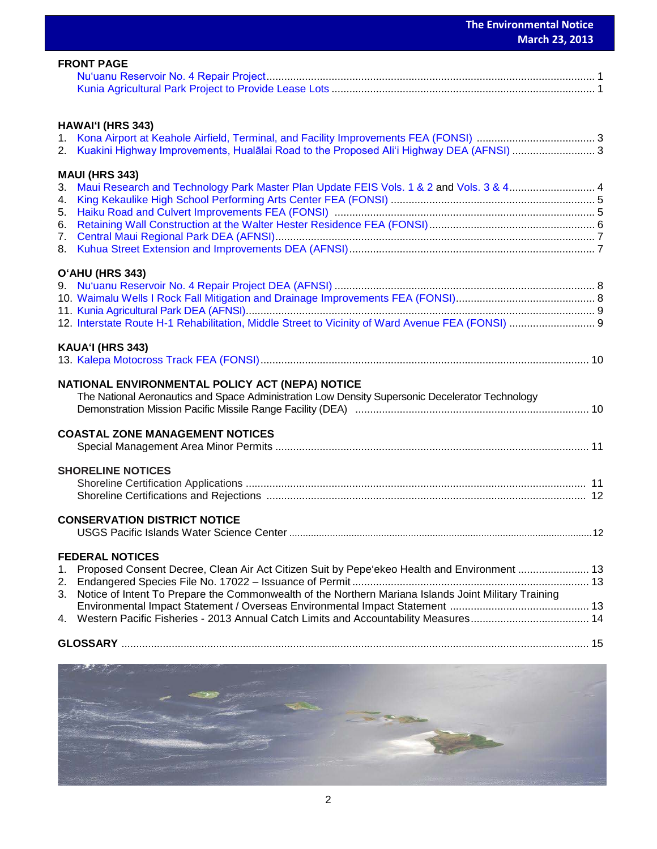|          |                                                                                                      | March 23, 2013 |
|----------|------------------------------------------------------------------------------------------------------|----------------|
|          | <b>FRONT PAGE</b>                                                                                    |                |
|          |                                                                                                      |                |
|          | HAWAI'I (HRS 343)                                                                                    |                |
|          | 2. Kuakini Highway Improvements, Hualālai Road to the Proposed Ali'i Highway DEA (AFNSI) 3           |                |
|          | <b>MAUI (HRS 343)</b>                                                                                |                |
|          | 3. Maui Research and Technology Park Master Plan Update FEIS Vols. 1 & 2 and Vols. 3 & 4 4           |                |
|          |                                                                                                      |                |
|          |                                                                                                      |                |
|          | O'AHU (HRS 343)                                                                                      |                |
|          |                                                                                                      |                |
|          |                                                                                                      |                |
|          |                                                                                                      |                |
|          | KAUA'I (HRS 343)                                                                                     |                |
|          | NATIONAL ENVIRONMENTAL POLICY ACT (NEPA) NOTICE                                                      |                |
|          | The National Aeronautics and Space Administration Low Density Supersonic Decelerator Technology      |                |
|          | <b>COASTAL ZONE MANAGEMENT NOTICES</b>                                                               |                |
|          |                                                                                                      |                |
|          | <b>SHORELINE NOTICES</b>                                                                             |                |
|          |                                                                                                      |                |
|          | <b>CONSERVATION DISTRICT NOTICE</b>                                                                  |                |
|          | <b>FEDERAL NOTICES</b>                                                                               |                |
| 1.       | Proposed Consent Decree, Clean Air Act Citizen Suit by Pepe'ekeo Health and Environment  13          |                |
| 2.<br>3. | Notice of Intent To Prepare the Commonwealth of the Northern Mariana Islands Joint Military Training |                |
|          |                                                                                                      |                |
| 4.       |                                                                                                      |                |
|          |                                                                                                      |                |
|          |                                                                                                      |                |

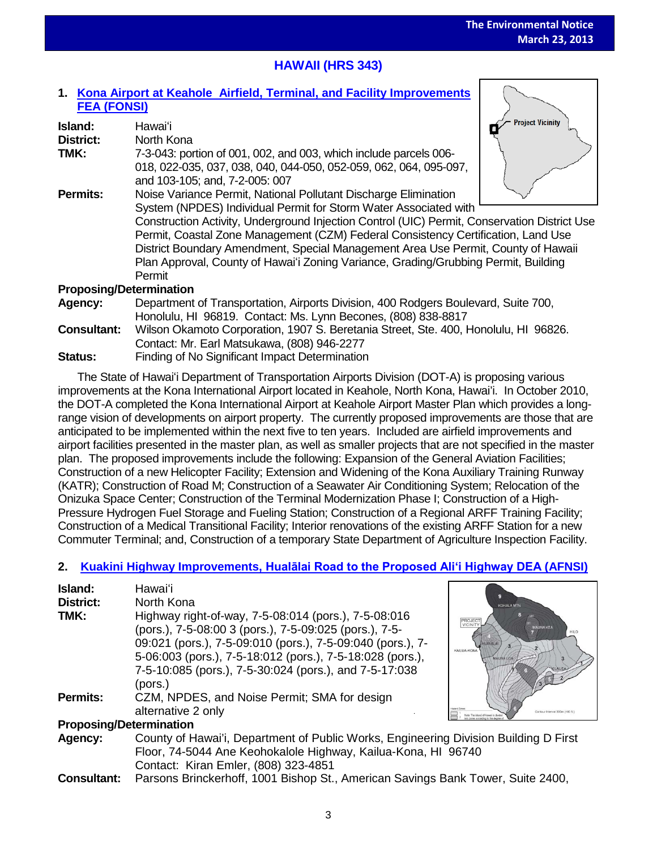# **HAWAII (HRS 343)**

# **1. [Kona Airport at Keahole Airfield, Terminal, and Facility Improvements](http://oeqc.doh.hawaii.gov/Shared%20Documents/EA_and_EIS_Online_Library/Hawaii/2010s/2013-03-23-HA-5B-FEA-Kona-Airport-at-Keahole-Airfield-Terminal-and-Facility-Improvements.pdf)  [FEA \(FONSI\)](http://oeqc.doh.hawaii.gov/Shared%20Documents/EA_and_EIS_Online_Library/Hawaii/2010s/2013-03-23-HA-5B-FEA-Kona-Airport-at-Keahole-Airfield-Terminal-and-Facility-Improvements.pdf)**

| Island:                        | Hawai'i                                                                                      | <b>Project Vicinity</b> |  |
|--------------------------------|----------------------------------------------------------------------------------------------|-------------------------|--|
| <b>District:</b>               | North Kona                                                                                   |                         |  |
| TMK:                           | 7-3-043: portion of 001, 002, and 003, which include parcels 006-                            |                         |  |
|                                | 018, 022-035, 037, 038, 040, 044-050, 052-059, 062, 064, 095-097,                            |                         |  |
|                                | and 103-105; and, 7-2-005: 007                                                               |                         |  |
| <b>Permits:</b>                | Noise Variance Permit, National Pollutant Discharge Elimination                              |                         |  |
|                                | System (NPDES) Individual Permit for Storm Water Associated with                             |                         |  |
|                                | Construction Activity, Underground Injection Control (UIC) Permit, Conservation District Use |                         |  |
|                                | Permit, Coastal Zone Management (CZM) Federal Consistency Certification, Land Use            |                         |  |
|                                | District Boundary Amendment, Special Management Area Use Permit, County of Hawaii            |                         |  |
|                                | Plan Approval, County of Hawai'i Zoning Variance, Grading/Grubbing Permit, Building          |                         |  |
|                                | Permit                                                                                       |                         |  |
| <b>Proposing/Determination</b> |                                                                                              |                         |  |
| Agency:                        | Department of Transportation, Airports Division, 400 Rodgers Boulevard, Suite 700,           |                         |  |
|                                | Honolulu, HI 96819. Contact: Ms. Lynn Becones, (808) 838-8817                                |                         |  |
| <b>Consultant:</b>             | Wilson Okamoto Corporation, 1907 S. Beretania Street, Ste. 400, Honolulu, HI 96826.          |                         |  |

- Contact: Mr. Earl Matsukawa, (808) 946-2277
- **Status:** Finding of No Significant Impact Determination

The State of Hawaiʻi Department of Transportation Airports Division (DOT-A) is proposing various improvements at the Kona International Airport located in Keahole, North Kona, Hawai'i. In October 2010, the DOT-A completed the Kona International Airport at Keahole Airport Master Plan which provides a longrange vision of developments on airport property. The currently proposed improvements are those that are anticipated to be implemented within the next five to ten years. Included are airfield improvements and airport facilities presented in the master plan, as well as smaller projects that are not specified in the master plan. The proposed improvements include the following: Expansion of the General Aviation Facilities; Construction of a new Helicopter Facility; Extension and Widening of the Kona Auxiliary Training Runway (KATR); Construction of Road M; Construction of a Seawater Air Conditioning System; Relocation of the Onizuka Space Center; Construction of the Terminal Modernization Phase I; Construction of a High-Pressure Hydrogen Fuel Storage and Fueling Station; Construction of a Regional ARFF Training Facility; Construction of a Medical Transitional Facility; Interior renovations of the existing ARFF Station for a new Commuter Terminal; and, Construction of a temporary State Department of Agriculture Inspection Facility.

# **2. Kuakini Highway Improvements, [Hualālai Road to the Proposed Ali'i Highway DEA](http://oeqc.doh.hawaii.gov/Shared%20Documents/EA_and_EIS_Online_Library/Hawaii/2010s/2013-03-23-HA-5B-DEA-Kuakini-Highway-Improvements-Phase-2.pdf) (AFNSI)**

| Island:<br><b>District:</b><br>TMK: | Hawaiʻi<br>North Kona<br>Highway right-of-way, 7-5-08:014 (pors.), 7-5-08:016<br>(pors.), 7-5-08:00 3 (pors.), 7-5-09:025 (pors.), 7-5-<br>09:021 (pors.), 7-5-09:010 (pors.), 7-5-09:040 (pors.), 7-<br>5-06:003 (pors.), 7-5-18:012 (pors.), 7-5-18:028 (pors.),<br>7-5-10:085 (pors.), 7-5-30:024 (pors.), and 7-5-17:038<br>(pors.) | <b>KOHALA MTM</b><br>PROJECT<br>VICINITY<br><b>MAUNA KEA</b><br>KAILUA-KONA<br><b>MAUNALO</b> |  |
|-------------------------------------|-----------------------------------------------------------------------------------------------------------------------------------------------------------------------------------------------------------------------------------------------------------------------------------------------------------------------------------------|-----------------------------------------------------------------------------------------------|--|
| <b>Permits:</b>                     | CZM, NPDES, and Noise Permit; SMA for design<br>alternative 2 only                                                                                                                                                                                                                                                                      | Contour Interval 300m (100)                                                                   |  |
|                                     | <b>Proposing/Determination</b>                                                                                                                                                                                                                                                                                                          |                                                                                               |  |
| Agency:                             | County of Hawai'i, Department of Public Works, Engineering Division Building D First<br>Floor, 74-5044 Ane Keohokalole Highway, Kailua-Kona, HI 96740<br>Contact: Kiran Emler, (808) 323-4851                                                                                                                                           |                                                                                               |  |

**Consultant:** Parsons Brinckerhoff, 1001 Bishop St., American Savings Bank Tower, Suite 2400,

3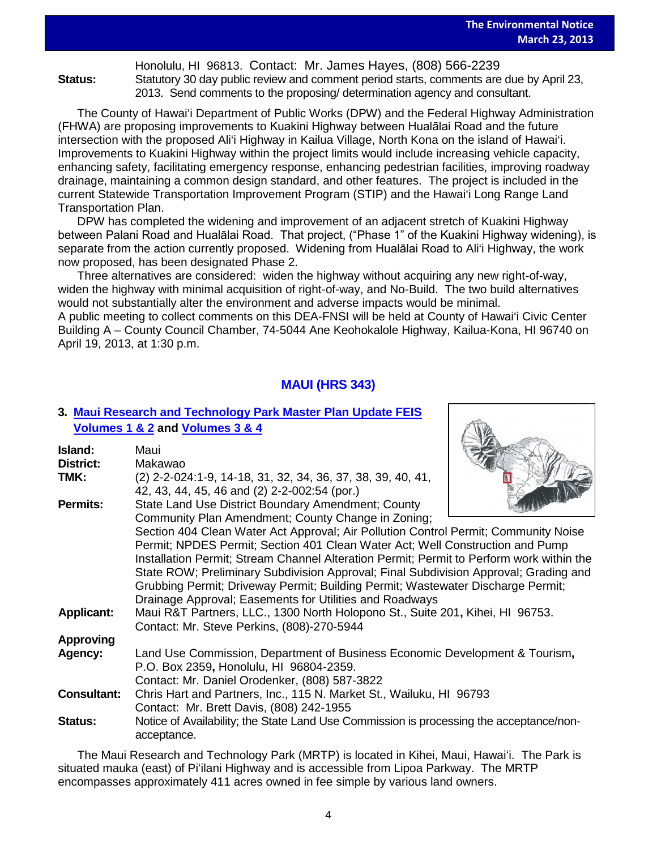Honolulu, HI 96813. Contact: Mr. James Hayes, (808) 566-2239 **Status:** Statutory 30 day public review and comment period starts, comments are due by April 23, 2013. Send comments to the proposing/ determination agency and consultant.

The County of Hawai'i Department of Public Works (DPW) and the Federal Highway Administration (FHWA) are proposing improvements to Kuakini Highway between Hualālai Road and the future intersection with the proposed Ali'i Highway in Kailua Village, North Kona on the island of Hawai'i. Improvements to Kuakini Highway within the project limits would include increasing vehicle capacity, enhancing safety, facilitating emergency response, enhancing pedestrian facilities, improving roadway drainage, maintaining a common design standard, and other features. The project is included in the current Statewide Transportation Improvement Program (STIP) and the Hawai'i Long Range Land Transportation Plan.

DPW has completed the widening and improvement of an adjacent stretch of Kuakini Highway between Palani Road and Hualālai Road. That project, ("Phase 1" of the Kuakini Highway widening), is separate from the action currently proposed. Widening from Hualalai Road to Ali'i Highway, the work now proposed, has been designated Phase 2.

Three alternatives are considered: widen the highway without acquiring any new right-of-way, widen the highway with minimal acquisition of right-of-way, and No-Build. The two build alternatives would not substantially alter the environment and adverse impacts would be minimal.

A public meeting to collect comments on this DEA-FNSI will be held at County of Hawai'i Civic Center Building A – County Council Chamber, 74-5044 Ane Keohokalole Highway, Kailua-Kona, HI 96740 on April 19, 2013, at 1:30 p.m.

# **MAUI (HRS 343)**

# **3. [Maui Research and Technology Park Master Plan Update FEIS](http://oeqc.doh.hawaii.gov/Shared%20Documents/EA_and_EIS_Online_Library/Maui/2010s/2013-03-23-MA-5E-FEIS-Maui-Research-and-Technology-Park-Volume-1-2.pdf) [Volumes 1 & 2](http://oeqc.doh.hawaii.gov/Shared%20Documents/EA_and_EIS_Online_Library/Maui/2010s/2013-03-23-MA-5E-FEIS-Maui-Research-and-Technology-Park-Volume-1-2.pdf) and [Volumes 3 & 4](http://oeqc.doh.hawaii.gov/Shared%20Documents/EA_and_EIS_Online_Library/Maui/2010s/2013-03-23-MA-5E-FEIS-Maui-Research-and-Technology-Park-Volume-3-4.pdf)**

| Island:<br>District: | Maui<br>Makawao                                                                                                                            |  |
|----------------------|--------------------------------------------------------------------------------------------------------------------------------------------|--|
| TMK:                 | (2) 2-2-024:1-9, 14-18, 31, 32, 34, 36, 37, 38, 39, 40, 41,<br>42, 43, 44, 45, 46 and (2) 2-2-002:54 (por.)                                |  |
| <b>Permits:</b>      | State Land Use District Boundary Amendment; County                                                                                         |  |
|                      | Community Plan Amendment; County Change in Zoning;<br>Section 404 Clean Water Act Approval; Air Pollution Control Permit; Community Noise  |  |
|                      | Permit; NPDES Permit; Section 401 Clean Water Act; Well Construction and Pump                                                              |  |
|                      | Installation Permit; Stream Channel Alteration Permit; Permit to Perform work within the                                                   |  |
|                      | State ROW; Preliminary Subdivision Approval; Final Subdivision Approval; Grading and                                                       |  |
|                      | Grubbing Permit; Driveway Permit; Building Permit; Wastewater Discharge Permit;<br>Drainage Approval; Easements for Utilities and Roadways |  |
| <b>Applicant:</b>    | Maui R&T Partners, LLC., 1300 North Holopono St., Suite 201, Kihei, HI 96753.                                                              |  |
|                      | Contact: Mr. Steve Perkins, (808)-270-5944                                                                                                 |  |
| <b>Approving</b>     |                                                                                                                                            |  |
| Agency:              | Land Use Commission, Department of Business Economic Development & Tourism,<br>P.O. Box 2359, Honolulu, HI 96804-2359.                     |  |
|                      | Contact: Mr. Daniel Orodenker, (808) 587-3822                                                                                              |  |
| <b>Consultant:</b>   | Chris Hart and Partners, Inc., 115 N. Market St., Wailuku, HI 96793                                                                        |  |
|                      | Contact: Mr. Brett Davis, (808) 242-1955                                                                                                   |  |
| <b>Status:</b>       | Notice of Availability; the State Land Use Commission is processing the acceptance/non-<br>acceptance.                                     |  |

The Maui Research and Technology Park (MRTP) is located in Kihei, Maui, Hawaiʻi. The Park is situated mauka (east) of Piʻilani Highway and is accessible from Lipoa Parkway. The MRTP encompasses approximately 411 acres owned in fee simple by various land owners.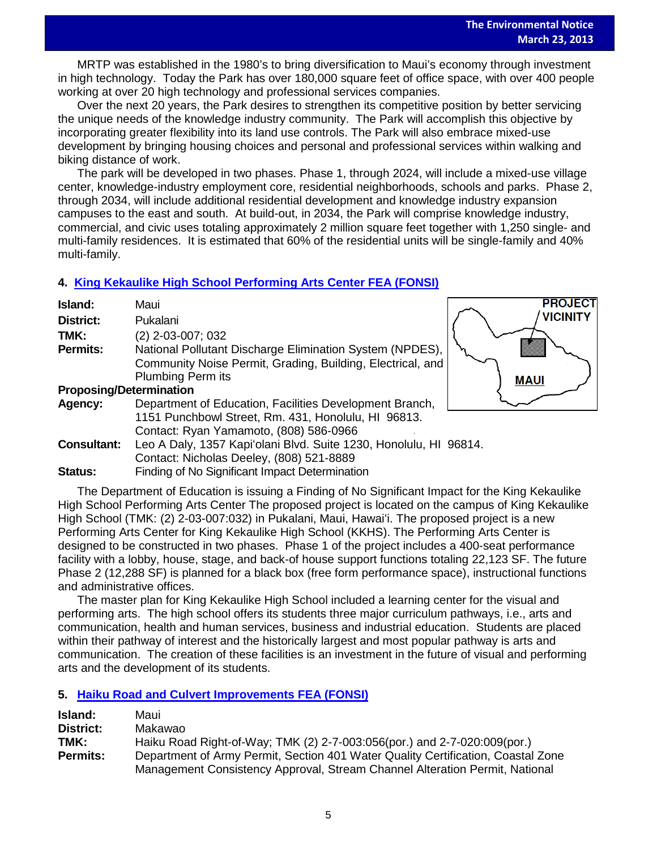**PROJECT VICINITY** 

**MAUI** 

MRTP was established in the 1980's to bring diversification to Maui's economy through investment in high technology. Today the Park has over 180,000 square feet of office space, with over 400 people working at over 20 high technology and professional services companies.

Over the next 20 years, the Park desires to strengthen its competitive position by better servicing the unique needs of the knowledge industry community. The Park will accomplish this objective by incorporating greater flexibility into its land use controls. The Park will also embrace mixed-use development by bringing housing choices and personal and professional services within walking and biking distance of work.

The park will be developed in two phases. Phase 1, through 2024, will include a mixed-use village center, knowledge-industry employment core, residential neighborhoods, schools and parks. Phase 2, through 2034, will include additional residential development and knowledge industry expansion campuses to the east and south. At build-out, in 2034, the Park will comprise knowledge industry, commercial, and civic uses totaling approximately 2 million square feet together with 1,250 single- and multi-family residences. It is estimated that 60% of the residential units will be single-family and 40% multi-family.

## **4. [King Kekaulike High School Performing Arts Center FEA \(FONSI\)](http://oeqc.doh.hawaii.gov/Shared%20Documents/EA_and_EIS_Online_Library/Maui/2010s/2013-03-23-MA-5B-FEA-King-Kekaulike-High-School.pdf)**

| Island:                        | Maui                                                                                                                                               |  |
|--------------------------------|----------------------------------------------------------------------------------------------------------------------------------------------------|--|
| <b>District:</b>               | Pukalani                                                                                                                                           |  |
| TMK:                           | $(2)$ 2-03-007; 032                                                                                                                                |  |
| <b>Permits:</b>                | National Pollutant Discharge Elimination System (NPDES),<br>Community Noise Permit, Grading, Building, Electrical, and<br><b>Plumbing Perm its</b> |  |
| <b>Proposing/Determination</b> |                                                                                                                                                    |  |
| Agency:                        | Department of Education, Facilities Development Branch,                                                                                            |  |
|                                | 1151 Punchbowl Street, Rm. 431, Honolulu, HI 96813.<br>Contact: Ryan Yamamoto, (808) 586-0966                                                      |  |
| <b>Consultant:</b>             | Leo A Daly, 1357 Kapi'olani Blvd. Suite 1230, Honolulu, HI 96814.                                                                                  |  |
|                                | Contact: Nicholas Deeley, (808) 521-8889                                                                                                           |  |
|                                |                                                                                                                                                    |  |

**Status:** Finding of No Significant Impact Determination

The Department of Education is issuing a Finding of No Significant Impact for the King Kekaulike High School Performing Arts Center The proposed project is located on the campus of King Kekaulike High School (TMK: (2) 2-03-007:032) in Pukalani, Maui, Hawaiʻi. The proposed project is a new Performing Arts Center for King Kekaulike High School (KKHS). The Performing Arts Center is designed to be constructed in two phases. Phase 1 of the project includes a 400-seat performance facility with a lobby, house, stage, and back-of house support functions totaling 22,123 SF. The future Phase 2 (12,288 SF) is planned for a black box (free form performance space), instructional functions and administrative offices.

The master plan for King Kekaulike High School included a learning center for the visual and performing arts. The high school offers its students three major curriculum pathways, i.e., arts and communication, health and human services, business and industrial education. Students are placed within their pathway of interest and the historically largest and most popular pathway is arts and communication. The creation of these facilities is an investment in the future of visual and performing arts and the development of its students.

# **5. [Haiku Road and Culvert Improvements](http://oeqc.doh.hawaii.gov/Shared%20Documents/EA_and_EIS_Online_Library/Maui/2010s/2013-03-23-MA-5B-FEA-Haiku-Road-and-Culvert-Improvements.pdf) FEA (FONSI)**

| Island:          | Maui                                                                             |
|------------------|----------------------------------------------------------------------------------|
| <b>District:</b> | Makawao                                                                          |
| TMK:             | Haiku Road Right-of-Way; TMK (2) 2-7-003:056(por.) and 2-7-020:009(por.)         |
| <b>Permits:</b>  | Department of Army Permit, Section 401 Water Quality Certification, Coastal Zone |
|                  | Management Consistency Approval, Stream Channel Alteration Permit, National      |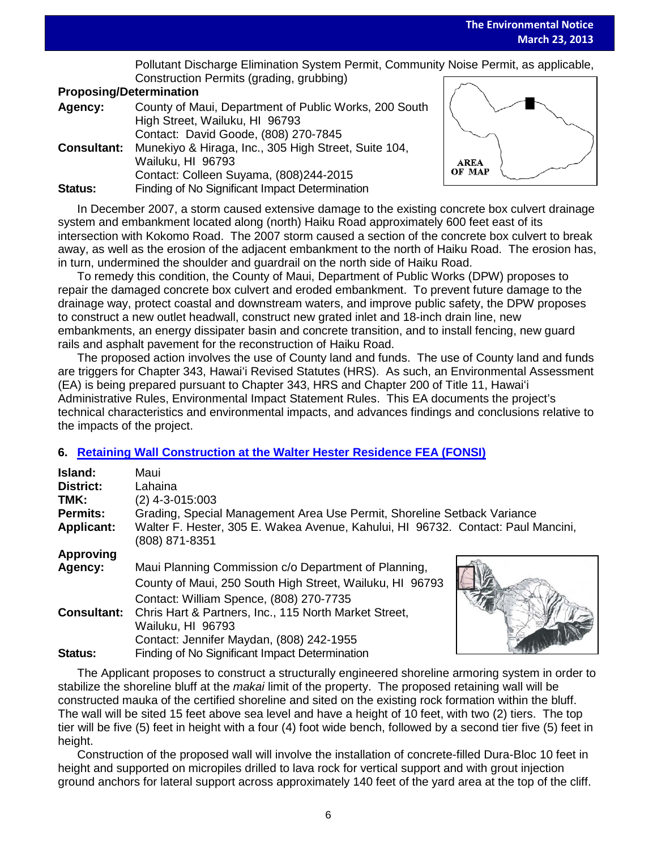Pollutant Discharge Elimination System Permit, Community Noise Permit, as applicable, Construction Permits (grading, grubbing)

## **Proposing/Determination**

| Agency:            | County of Maui, Department of Public Works, 200 South |
|--------------------|-------------------------------------------------------|
|                    | High Street, Wailuku, HI 96793                        |
|                    | Contact: David Goode, (808) 270-7845                  |
| <b>Consultant:</b> | Munekiyo & Hiraga, Inc., 305 High Street, Suite 104,  |
|                    | Wailuku, HI 96793                                     |
|                    | Contact: Colleen Suyama, (808)244-2015                |
| <b>Status:</b>     | Finding of No Significant Impact Determination        |



In December 2007, a storm caused extensive damage to the existing concrete box culvert drainage system and embankment located along (north) Haiku Road approximately 600 feet east of its intersection with Kokomo Road. The 2007 storm caused a section of the concrete box culvert to break away, as well as the erosion of the adjacent embankment to the north of Haiku Road. The erosion has, in turn, undermined the shoulder and guardrail on the north side of Haiku Road.

To remedy this condition, the County of Maui, Department of Public Works (DPW) proposes to repair the damaged concrete box culvert and eroded embankment. To prevent future damage to the drainage way, protect coastal and downstream waters, and improve public safety, the DPW proposes to construct a new outlet headwall, construct new grated inlet and 18-inch drain line, new embankments, an energy dissipater basin and concrete transition, and to install fencing, new guard rails and asphalt pavement for the reconstruction of Haiku Road.

The proposed action involves the use of County land and funds. The use of County land and funds are triggers for Chapter 343, Hawaiʻi Revised Statutes (HRS). As such, an Environmental Assessment (EA) is being prepared pursuant to Chapter 343, HRS and Chapter 200 of Title 11, Hawaiʻi Administrative Rules, Environmental Impact Statement Rules. This EA documents the project's technical characteristics and environmental impacts, and advances findings and conclusions relative to the impacts of the project.

# **6. [Retaining Wall Construction at the Walter Hester Residence](http://oeqc.doh.hawaii.gov/Shared%20Documents/EA_and_EIS_Online_Library/Maui/2010s/2013-03-23-MA-5E-FEA-Retaining-Wall-Construction-at-Walter-Hester-Residence.pdf) FEA (FONSI)**

| Island:<br><b>District:</b><br>TMK:<br><b>Permits:</b> | Maui<br>Lahaina<br>$(2)$ 4-3-015:003<br>Grading, Special Management Area Use Permit, Shoreline Setback Variance                                             |
|--------------------------------------------------------|-------------------------------------------------------------------------------------------------------------------------------------------------------------|
| <b>Applicant:</b>                                      | Walter F. Hester, 305 E. Wakea Avenue, Kahului, HI 96732. Contact: Paul Mancini,<br>(808) 871-8351                                                          |
| Approving                                              |                                                                                                                                                             |
| Agency:                                                | Maui Planning Commission c/o Department of Planning,<br>County of Maui, 250 South High Street, Wailuku, HI 96793<br>Contact: William Spence, (808) 270-7735 |
| <b>Consultant:</b>                                     | Chris Hart & Partners, Inc., 115 North Market Street,<br>Wailuku, HI 96793<br>Contact: Jennifer Maydan, (808) 242-1955                                      |
| Status:                                                | Finding of No Significant Impact Determination                                                                                                              |

The Applicant proposes to construct a structurally engineered shoreline armoring system in order to stabilize the shoreline bluff at the *makai* limit of the property. The proposed retaining wall will be constructed mauka of the certified shoreline and sited on the existing rock formation within the bluff. The wall will be sited 15 feet above sea level and have a height of 10 feet, with two (2) tiers. The top tier will be five (5) feet in height with a four (4) foot wide bench, followed by a second tier five (5) feet in height.

Construction of the proposed wall will involve the installation of concrete-filled Dura-Bloc 10 feet in height and supported on micropiles drilled to lava rock for vertical support and with grout injection ground anchors for lateral support across approximately 140 feet of the yard area at the top of the cliff.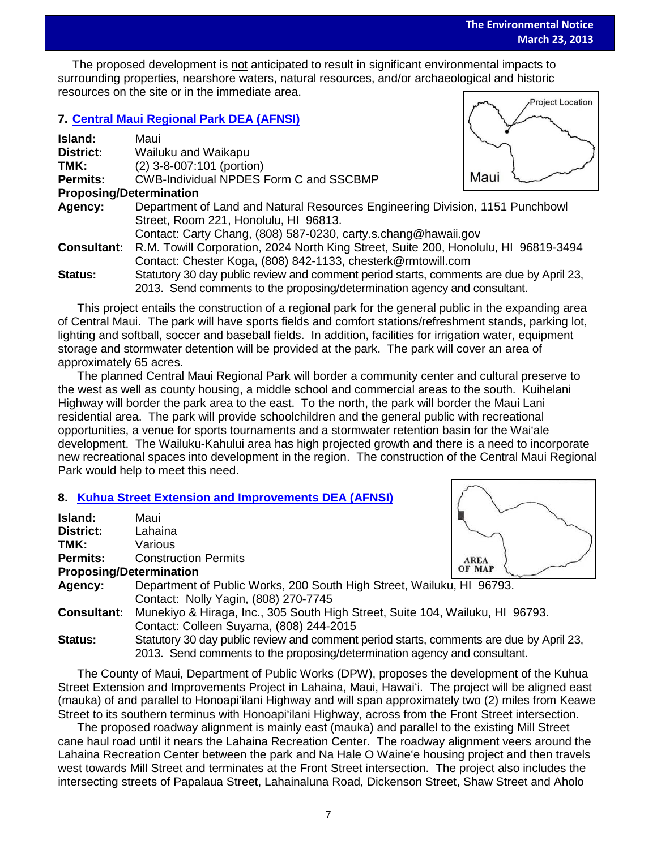The proposed development is <u>not</u> anticipated to result in significant environmental impacts to mean of the proposed contained a proposed to the contact to mean of the contact to the contact to the contact to the contact t surrounding properties, nearshore waters, natural resources, and/or archaeological and historic resources on the site or in the immediate area. **Project Location** 

## **7. [Central Maui Regional Park](http://oeqc.doh.hawaii.gov/Shared%20Documents/EA_and_EIS_Online_Library/Maui/2010s/2013-03-23-MA-5B-DEA-Central-Maui-Regional-Park.pdf) DEA (AFNSI)**

| Island:                        | Maui                                                                                    |      |
|--------------------------------|-----------------------------------------------------------------------------------------|------|
| <b>District:</b>               | Wailuku and Waikapu                                                                     |      |
| TMK:                           | (2) 3-8-007:101 (portion)                                                               |      |
| Permits:                       | <b>CWB-Individual NPDES Form C and SSCBMP</b>                                           | Maui |
| <b>Proposing/Determination</b> |                                                                                         |      |
| Agency:                        | Department of Land and Natural Resources Engineering Division, 1151 Punchbowl           |      |
|                                | Street, Room 221, Honolulu, HI 96813.                                                   |      |
|                                | Contact: Carty Chang, (808) 587-0230, carty.s.chang@hawaii.gov                          |      |
| <b>Consultant:</b>             | R.M. Towill Corporation, 2024 North King Street, Suite 200, Honolulu, HI 96819-3494     |      |
|                                | Contact: Chester Koga, (808) 842-1133, chesterk@rmtowill.com                            |      |
| <b>Status:</b>                 | Statutory 30 day public review and comment period starts, comments are due by April 23, |      |
|                                | 2013. Send comments to the proposing/determination agency and consultant.               |      |

This project entails the construction of a regional park for the general public in the expanding area of Central Maui. The park will have sports fields and comfort stations/refreshment stands, parking lot, lighting and softball, soccer and baseball fields. In addition, facilities for irrigation water, equipment storage and stormwater detention will be provided at the park. The park will cover an area of approximately 65 acres.

The planned Central Maui Regional Park will border a community center and cultural preserve to the west as well as county housing, a middle school and commercial areas to the south. Kuihelani Highway will border the park area to the east. To the north, the park will border the Maui Lani residential area. The park will provide schoolchildren and the general public with recreational opportunities, a venue for sports tournaments and a stormwater retention basin for the Wai'ale development. The Wailuku-Kahului area has high projected growth and there is a need to incorporate new recreational spaces into development in the region. The construction of the Central Maui Regional Park would help to meet this need.

# **8. [Kuhua Street Extension and Improvements DEA \(AFNSI\)](http://oeqc.doh.hawaii.gov/Shared%20Documents/EA_and_EIS_Online_Library/Maui/2010s/2013-03-23-MA-5B-DEA-Kuhua-Street-Extension.pdf)**

| Island:            | Maui                                                                                                          |             |
|--------------------|---------------------------------------------------------------------------------------------------------------|-------------|
| <b>District:</b>   | Lahaina                                                                                                       |             |
| TMK:               | Various                                                                                                       |             |
| <b>Permits:</b>    | <b>Construction Permits</b>                                                                                   | <b>AREA</b> |
|                    | <b>Proposing/Determination</b>                                                                                | OF MAP      |
| Agency:            | Department of Public Works, 200 South High Street, Wailuku, HI 96793.<br>Contact: Nolly Yagin, (808) 270-7745 |             |
| <b>Consultant:</b> | Munekiyo & Hiraga, Inc., 305 South High Street, Suite 104, Wailuku, HI 96793.                                 |             |
|                    | Contact: Colleen Suyama, (808) 244-2015                                                                       |             |
| <b>Status:</b>     | Statutory 30 day public review and comment period starts, comments are due by April 23,                       |             |
|                    | 2013. Send comments to the proposing/determination agency and consultant.                                     |             |

The County of Maui, Department of Public Works (DPW), proposes the development of the Kuhua Street Extension and Improvements Project in Lahaina, Maui, Hawaiʻi. The project will be aligned east (mauka) of and parallel to Honoapiʻilani Highway and will span approximately two (2) miles from Keawe Street to its southern terminus with Honoapiʻilani Highway, across from the Front Street intersection.

The proposed roadway alignment is mainly east (mauka) and parallel to the existing Mill Street cane haul road until it nears the Lahaina Recreation Center. The roadway alignment veers around the Lahaina Recreation Center between the park and Na Hale O Waineʻe housing project and then travels west towards Mill Street and terminates at the Front Street intersection. The project also includes the intersecting streets of Papalaua Street, Lahainaluna Road, Dickenson Street, Shaw Street and Aholo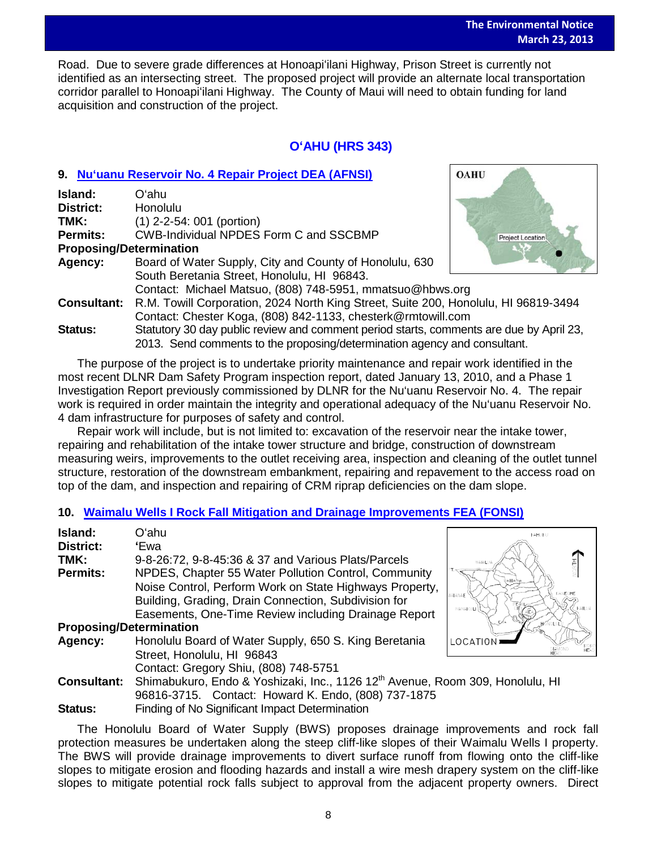**OAHU** 

Road. Due to severe grade differences at Honoapi'ilani Highway, Prison Street is currently not identified as an intersecting street. The proposed project will provide an alternate local transportation corridor parallel to Honoapiʻilani Highway. The County of Maui will need to obtain funding for land acquisition and construction of the project.

# **OʻAHU (HRS 343)**

# **9. [Nu'uanu Reservoir No. 4 Repair](http://oeqc.doh.hawaii.gov/Shared%20Documents/EA_and_EIS_Online_Library/Oahu/2010s/2013-03-23-OA-5B-DEA-Nuuanu-Reservoir-No-4-Repair-Project.pdf) Project DEA (AFNSI)**

| Island:                        | Oʻahu                                                                                   |                         |  |
|--------------------------------|-----------------------------------------------------------------------------------------|-------------------------|--|
| <b>District:</b>               | Honolulu                                                                                |                         |  |
| TMK:                           | $(1)$ 2-2-54: 001 (portion)                                                             |                         |  |
| <b>Permits:</b>                | <b>CWB-Individual NPDES Form C and SSCBMP</b>                                           | <b>Project Location</b> |  |
| <b>Proposing/Determination</b> |                                                                                         |                         |  |
| Agency:                        | Board of Water Supply, City and County of Honolulu, 630                                 |                         |  |
|                                | South Beretania Street, Honolulu, HI 96843.                                             |                         |  |
|                                | Contact: Michael Matsuo, (808) 748-5951, mmatsuo@hbws.org                               |                         |  |
| <b>Consultant:</b>             | R.M. Towill Corporation, 2024 North King Street, Suite 200, Honolulu, HI 96819-3494     |                         |  |
|                                | Contact: Chester Koga, (808) 842-1133, chesterk@rmtowill.com                            |                         |  |
| <b>Status:</b>                 | Statutory 30 day public review and comment period starts, comments are due by April 23, |                         |  |
|                                | 2013. Send comments to the proposing/determination agency and consultant.               |                         |  |

The purpose of the project is to undertake priority maintenance and repair work identified in the most recent DLNR Dam Safety Program inspection report, dated January 13, 2010, and a Phase 1 Investigation Report previously commissioned by DLNR for the Nu'uanu Reservoir No. 4. The repair work is required in order maintain the integrity and operational adequacy of the Nu'uanu Reservoir No. 4 dam infrastructure for purposes of safety and control.

Repair work will include, but is not limited to: excavation of the reservoir near the intake tower, repairing and rehabilitation of the intake tower structure and bridge, construction of downstream measuring weirs, improvements to the outlet receiving area, inspection and cleaning of the outlet tunnel structure, restoration of the downstream embankment, repairing and repavement to the access road on top of the dam, and inspection and repairing of CRM riprap deficiencies on the dam slope.

# **10. [Waimalu Wells I Rock Fall Mitigation and Drainage Improvements](http://oeqc.doh.hawaii.gov/Shared%20Documents/EA_and_EIS_Online_Library/Oahu/2010s/2013-03-23-OA-5B-FEA-Waimalu-Wells-I-Rock-Fall-Mitigation-and-Drainage-Improvements.pdf) FEA (FONSI)**

| Island:<br>Oʻahu                                                                                                | KAHUKU   |
|-----------------------------------------------------------------------------------------------------------------|----------|
|                                                                                                                 |          |
| District:<br>'Ewa                                                                                               |          |
| TMK:<br>9-8-26:72, 9-8-45:36 & 37 and Various Plats/Parcels                                                     | NAJALUA  |
| <b>Permits:</b><br>NPDES, Chapter 55 Water Pollution Control, Community                                         |          |
| Noise Control, Perform Work on State Highways Property,                                                         | KANEGHE  |
| Building, Grading, Drain Connection, Subdivision for                                                            | NAJANAE  |
| Easements, One-Time Review including Drainage Report                                                            | NANAKULI |
| <b>Proposing/Determination</b>                                                                                  |          |
| Honolulu Board of Water Supply, 650 S. King Beretania<br>Agency:                                                | LOCATIO  |
| Street, Honolulu, HI 96843                                                                                      |          |
| Contact: Gregory Shiu, (808) 748-5751                                                                           |          |
| Shimabukuro, Endo & Yoshizaki, Inc., 1126 12 <sup>th</sup> Avenue, Room 309, Honolulu, HI<br><b>Consultant:</b> |          |
| 96816-3715. Contact: Howard K. Endo, (808) 737-1875                                                             |          |
| Finding of No Significant Impact Determination<br><b>Status:</b>                                                |          |

The Honolulu Board of Water Supply (BWS) proposes drainage improvements and rock fall protection measures be undertaken along the steep cliff-like slopes of their Waimalu Wells I property. The BWS will provide drainage improvements to divert surface runoff from flowing onto the cliff-like slopes to mitigate erosion and flooding hazards and install a wire mesh drapery system on the cliff-like slopes to mitigate potential rock falls subject to approval from the adjacent property owners. Direct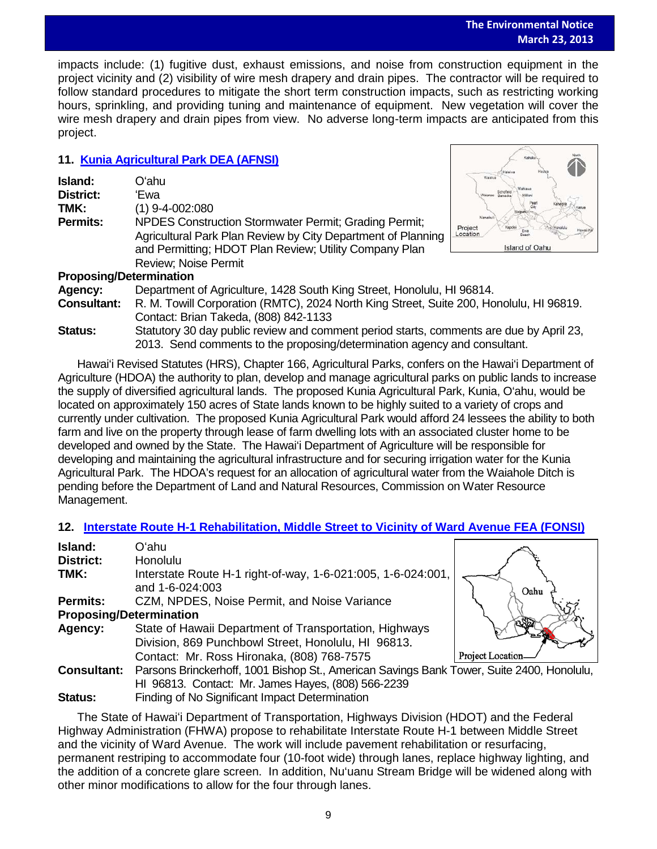impacts include: (1) fugitive dust, exhaust emissions, and noise from construction equipment in the project vicinity and (2) visibility of wire mesh drapery and drain pipes. The contractor will be required to follow standard procedures to mitigate the short term construction impacts, such as restricting working hours, sprinkling, and providing tuning and maintenance of equipment. New vegetation will cover the wire mesh drapery and drain pipes from view. No adverse long-term impacts are anticipated from this project.

# **11. [Kunia Agricultural Park DEA \(AFNSI\)](http://oeqc.doh.hawaii.gov/Shared%20Documents/EA_and_EIS_Online_Library/Oahu/2010s/2013-03-23-OA-5B-DEA-Kunia-Agricultural-Park.pdf)**

| Island:<br><b>District:</b><br>TMK:<br><b>Permits:</b> | Oʻahu<br>'Ewa<br>(1) 9-4-002:080<br>NPDES Construction Stormwater Permit; Grading Permit;                                                                            | Waialua<br>Schoffeld<br>Waianae<br><b>Barracks</b><br>Project<br>Havai Ka<br>Location |
|--------------------------------------------------------|----------------------------------------------------------------------------------------------------------------------------------------------------------------------|---------------------------------------------------------------------------------------|
|                                                        | Agricultural Park Plan Review by City Department of Planning<br>and Permitting; HDOT Plan Review; Utility Company Plan<br>Review; Noise Permit                       | Island of Oahu                                                                        |
| <b>Proposing/Determination</b>                         |                                                                                                                                                                      |                                                                                       |
| Agency:                                                | Department of Agriculture, 1428 South King Street, Honolulu, HI 96814.                                                                                               |                                                                                       |
| <b>Consultant:</b>                                     | R. M. Towill Corporation (RMTC), 2024 North King Street, Suite 200, Honolulu, HI 96819.<br>Contact: Brian Takeda, (808) 842-1133                                     |                                                                                       |
| Status:                                                | Statutory 30 day public review and comment period starts, comments are due by April 23,<br>2013. Send comments to the proposing/determination agency and consultant. |                                                                                       |

Hawai'i Revised Statutes (HRS), Chapter 166, Agricultural Parks, confers on the Hawai'i Department of Agriculture (HDOA) the authority to plan, develop and manage agricultural parks on public lands to increase the supply of diversified agricultural lands. The proposed Kunia Agricultural Park, Kunia, O'ahu, would be located on approximately 150 acres of State lands known to be highly suited to a variety of crops and currently under cultivation. The proposed Kunia Agricultural Park would afford 24 lessees the ability to both farm and live on the property through lease of farm dwelling lots with an associated cluster home to be developed and owned by the State. The Hawai'i Department of Agriculture will be responsible for developing and maintaining the agricultural infrastructure and for securing irrigation water for the Kunia Agricultural Park. The HDOA's request for an allocation of agricultural water from the Waiahole Ditch is pending before the Department of Land and Natural Resources, Commission on Water Resource Management.

# **12. [Interstate Route H-1 Rehabilitation, Middle Street to Vicinity of Ward Avenue FEA \(FONSI\)](http://oeqc.doh.hawaii.gov/Shared%20Documents/EA_and_EIS_Online_Library/Oahu/2010s/2013-03-23-OA-5B-DEA-Interstate-H1-Rehabilitation.pdf)**

| Island:                        | Oʻahu                                                                                     |                         |
|--------------------------------|-------------------------------------------------------------------------------------------|-------------------------|
| <b>District:</b>               | <b>Honolulu</b>                                                                           |                         |
| TMK:                           | Interstate Route H-1 right-of-way, 1-6-021:005, 1-6-024:001,                              |                         |
|                                | and 1-6-024:003                                                                           | Oahı                    |
| <b>Permits:</b>                | CZM, NPDES, Noise Permit, and Noise Variance                                              |                         |
| <b>Proposing/Determination</b> |                                                                                           |                         |
| Agency:                        | State of Hawaii Department of Transportation, Highways                                    |                         |
|                                | Division, 869 Punchbowl Street, Honolulu, HI 96813.                                       |                         |
|                                | Contact: Mr. Ross Hironaka, (808) 768-7575                                                | <b>Project Location</b> |
| <b>Consultant:</b>             | Parsons Brinckerhoff, 1001 Bishop St., American Savings Bank Tower, Suite 2400, Honolulu, |                         |
|                                | HI 96813. Contact: Mr. James Hayes, (808) 566-2239                                        |                         |
| <b>Status:</b>                 | Finding of No Significant Impact Determination                                            |                         |

The State of Hawaiʻi Department of Transportation, Highways Division (HDOT) and the Federal Highway Administration (FHWA) propose to rehabilitate Interstate Route H-1 between Middle Street and the vicinity of Ward Avenue. The work will include pavement rehabilitation or resurfacing, permanent restriping to accommodate four (10-foot wide) through lanes, replace highway lighting, and the addition of a concrete glare screen. In addition, Nu'uanu Stream Bridge will be widened along with other minor modifications to allow for the four through lanes.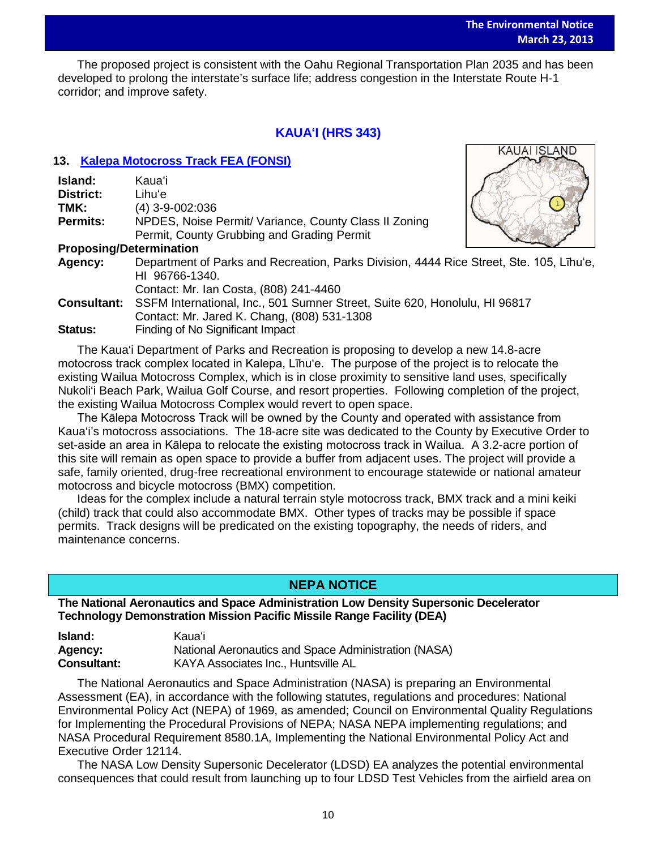The proposed project is consistent with the Oahu Regional Transportation Plan 2035 and has been developed to prolong the interstate's surface life; address congestion in the Interstate Route H-1 corridor; and improve safety.

# **KAUAʻI (HRS 343)**

#### **13. [Kalepa Motocross Track](http://oeqc.doh.hawaii.gov/Shared%20Documents/EA_and_EIS_Online_Library/Kauai/2010s/2013-03-23-KA-5B-FEA-Kalepa-Motocross-Track.pdf) FEA (FONSI)**

| Island:                        | Kaua'i                                                |
|--------------------------------|-------------------------------------------------------|
| District:                      | Lihuʻe                                                |
| TMK:                           | $(4)$ 3-9-002:036                                     |
| <b>Permits:</b>                | NPDES, Noise Permit/ Variance, County Class II Zoning |
|                                | Permit, County Grubbing and Grading Permit            |
| <b>Dranacina/Determination</b> |                                                       |



#### **Proposing/Determination**

**Agency:** Department of Parks and Recreation, Parks Division, 4444 Rice Street, Ste. 105, Līhu'e, HI 96766-1340. Contact: Mr. Ian Costa, (808) 241-4460

**Consultant:** SSFM International, Inc., 501 Sumner Street, Suite 620, Honolulu, HI 96817 Contact: Mr. Jared K. Chang, (808) 531-1308 **Status:** Finding of No Significant Impact

The Kaua'i Department of Parks and Recreation is proposing to develop a new 14.8-acre motocross track complex located in Kalepa, Līhu'e. The purpose of the project is to relocate the existing Wailua Motocross Complex, which is in close proximity to sensitive land uses, specifically Nukoli'i Beach Park, Wailua Golf Course, and resort properties. Following completion of the project, the existing Wailua Motocross Complex would revert to open space.

The Kālepa Motocross Track will be owned by the County and operated with assistance from Kaua'i's motocross associations. The 18-acre site was dedicated to the County by Executive Order to set-aside an area in Kālepa to relocate the existing motocross track in Wailua. A 3.2-acre portion of this site will remain as open space to provide a buffer from adjacent uses. The project will provide a safe, family oriented, drug-free recreational environment to encourage statewide or national amateur motocross and bicycle motocross (BMX) competition.

Ideas for the complex include a natural terrain style motocross track, BMX track and a mini keiki (child) track that could also accommodate BMX. Other types of tracks may be possible if space permits. Track designs will be predicated on the existing topography, the needs of riders, and maintenance concerns.

# **NEPA NOTICE**

**The National Aeronautics and Space Administration Low Density Supersonic Decelerator Technology Demonstration Mission Pacific Missile Range Facility (DEA)** 

| <b>Island:</b>     | Kauaʻi                                               |
|--------------------|------------------------------------------------------|
| Agency:            | National Aeronautics and Space Administration (NASA) |
| <b>Consultant:</b> | KAYA Associates Inc., Huntsville AL                  |

The National Aeronautics and Space Administration (NASA) is preparing an Environmental Assessment (EA), in accordance with the following statutes, regulations and procedures: National Environmental Policy Act (NEPA) of 1969, as amended; Council on Environmental Quality Regulations for Implementing the Procedural Provisions of NEPA; NASA NEPA implementing regulations; and NASA Procedural Requirement 8580.1A, Implementing the National Environmental Policy Act and Executive Order 12114.

The NASA Low Density Supersonic Decelerator (LDSD) EA analyzes the potential environmental consequences that could result from launching up to four LDSD Test Vehicles from the airfield area on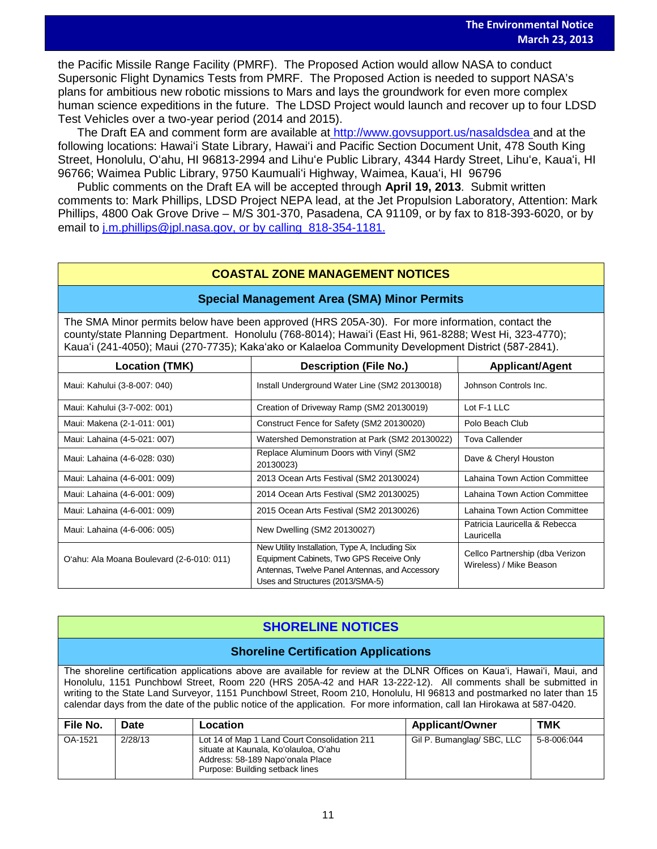the Pacific Missile Range Facility (PMRF). The Proposed Action would allow NASA to conduct<br>Currential Flight Duncation Tests from DMPE. The Presenced Action is appelled to summed MAG Supersonic Flight Dynamics Tests from PMRF. The Proposed Action is needed to support NASA's plans for ambitious new robotic missions to Mars and lays the groundwork for even more complex human science expeditions in the future. The LDSD Project would launch and recover up to four LDSD Test Vehicles over a two-year period (2014 and 2015).

The Draft EA and comment form are available at [http://www.govsupport.us/nasaldsdea a](http://www.govsupport.us/nasaldsdea)nd at the following locations: Hawaiʻi State Library, Hawaiʻi and Pacific Section Document Unit, 478 South King Street, Honolulu, Oʻahu, HI 96813-2994 and Lihuʻe Public Library, 4344 Hardy Street, Lihuʻe, Kauaʻi, HI 96766; Waimea Public Library, 9750 Kaumualiʻi Highway, Waimea, Kauaʻi, HI 96796

Public comments on the Draft EA will be accepted through **April 19, 2013**. Submit written comments to: Mark Phillips, LDSD Project NEPA lead, at the Jet Propulsion Laboratory, Attention: Mark Phillips, 4800 Oak Grove Drive – M/S 301-370, Pasadena, CA 91109, or by fax to 818-393-6020, or by email to [j.m.phillips@jpl.nasa.gov, or by calling 818-354-1181.](mailto:j.m.phillips@jpl.nasa.gov,%20or%20by%20calling%20%20818-354-1181.)

# **COASTAL ZONE MANAGEMENT NOTICES**

#### **Special Management Area (SMA) Minor Permits**

The SMA Minor permits below have been approved (HRS 205A-30). For more information, contact the county/state Planning Department. Honolulu (768-8014); Hawaiʻi (East Hi, 961-8288; West Hi, 323-4770); Kauaʻi (241-4050); Maui (270-7735); Kakaʻako or Kalaeloa Community Development District (587-2841).

| <b>Location (TMK)</b>                     | <b>Description (File No.)</b>                                                                                                                                                     | <b>Applicant/Agent</b>                                     |
|-------------------------------------------|-----------------------------------------------------------------------------------------------------------------------------------------------------------------------------------|------------------------------------------------------------|
| Maui: Kahului (3-8-007: 040)              | Install Underground Water Line (SM2 20130018)                                                                                                                                     | Johnson Controls Inc.                                      |
| Maui: Kahului (3-7-002: 001)              | Creation of Driveway Ramp (SM2 20130019)                                                                                                                                          | Lot F-1 LLC                                                |
| Maui: Makena (2-1-011: 001)               | Construct Fence for Safety (SM2 20130020)                                                                                                                                         | Polo Beach Club                                            |
| Maui: Lahaina (4-5-021: 007)              | Watershed Demonstration at Park (SM2 20130022)                                                                                                                                    | <b>Tova Callender</b>                                      |
| Maui: Lahaina (4-6-028: 030)              | Replace Aluminum Doors with Vinyl (SM2<br>20130023)                                                                                                                               | Dave & Cheryl Houston                                      |
| Maui: Lahaina (4-6-001: 009)              | 2013 Ocean Arts Festival (SM2 20130024)                                                                                                                                           | <b>Lahaina Town Action Committee</b>                       |
| Maui: Lahaina (4-6-001: 009)              | 2014 Ocean Arts Festival (SM2 20130025)                                                                                                                                           | Lahaina Town Action Committee                              |
| Maui: Lahaina (4-6-001: 009)              | 2015 Ocean Arts Festival (SM2 20130026)                                                                                                                                           | Lahaina Town Action Committee                              |
| Maui: Lahaina (4-6-006: 005)              | New Dwelling (SM2 20130027)                                                                                                                                                       | Patricia Lauricella & Rebecca<br>Lauricella                |
| O'ahu: Ala Moana Boulevard (2-6-010: 011) | New Utility Installation, Type A, Including Six<br>Equipment Cabinets, Two GPS Receive Only<br>Antennas, Twelve Panel Antennas, and Accessory<br>Uses and Structures (2013/SMA-5) | Cellco Partnership (dba Verizon<br>Wireless) / Mike Beason |

# **SHORELINE NOTICES**

#### **Shoreline Certification Applications**

The shoreline certification applications above are available for review at the DLNR Offices on Kauaʻi, Hawaiʻi, Maui, and Honolulu, 1151 Punchbowl Street, Room 220 (HRS 205A-42 and HAR 13-222-12). All comments shall be submitted in writing to the State Land Surveyor, 1151 Punchbowl Street, Room 210, Honolulu, HI 96813 and postmarked no later than 15 calendar days from the date of the public notice of the application. For more information, call Ian Hirokawa at 587-0420.

| File No. | <b>Date</b> | Location                                                                                                                                                     | <b>Applicant/Owner</b>     | <b>TMK</b>  |
|----------|-------------|--------------------------------------------------------------------------------------------------------------------------------------------------------------|----------------------------|-------------|
| OA-1521  | 2/28/13     | Lot 14 of Map 1 Land Court Consolidation 211<br>situate at Kaunala, Ko'olauloa, O'ahu<br>Address: 58-189 Napo'onala Place<br>Purpose: Building setback lines | Gil P. Bumanglag/ SBC, LLC | 5-8-006:044 |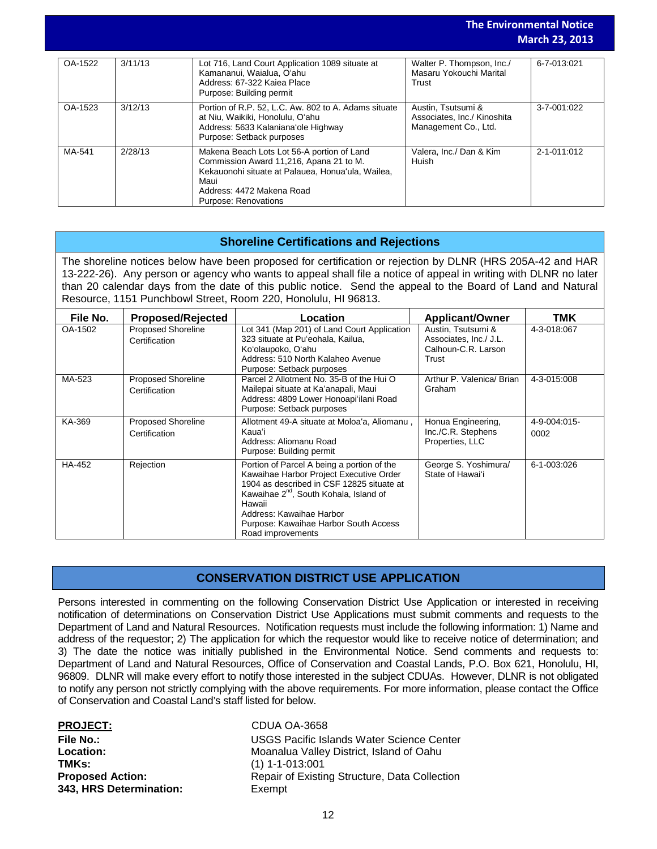**The Environmental Notice March 23, 2013**

| OA-1522 | 3/11/13 | Lot 716, Land Court Application 1089 situate at<br>Kamananui, Waialua, O'ahu<br>Address: 67-322 Kaiea Place<br>Purpose: Building permit                                                                 | Walter P. Thompson, Inc./<br>Masaru Yokouchi Marital<br>Trust             | 6-7-013:021 |
|---------|---------|---------------------------------------------------------------------------------------------------------------------------------------------------------------------------------------------------------|---------------------------------------------------------------------------|-------------|
| OA-1523 | 3/12/13 | Portion of R.P. 52, L.C. Aw. 802 to A. Adams situate<br>at Niu, Waikiki, Honolulu, O'ahu<br>Address: 5633 Kalaniana'ole Highway<br>Purpose: Setback purposes                                            | Austin, Tsutsumi &<br>Associates, Inc./ Kinoshita<br>Management Co., Ltd. | 3-7-001:022 |
| MA-541  | 2/28/13 | Makena Beach Lots Lot 56-A portion of Land<br>Commission Award 11,216, Apana 21 to M.<br>Kekauonohi situate at Palauea, Honua'ula, Wailea,<br>Maui<br>Address: 4472 Makena Road<br>Purpose: Renovations | Valera, Inc./ Dan & Kim<br>Huish                                          | 2-1-011:012 |

#### **Shoreline Certifications and Rejections**

The shoreline notices below have been proposed for certification or rejection by DLNR (HRS 205A-42 and HAR 13-222-26). Any person or agency who wants to appeal shall file a notice of appeal in writing with DLNR no later than 20 calendar days from the date of this public notice. Send the appeal to the Board of Land and Natural Resource, 1151 Punchbowl Street, Room 220, Honolulu, HI 96813.

| File No. | <b>Proposed/Rejected</b>                   | Location                                                                                                                                                                                                                                                                                     | <b>Applicant/Owner</b>                                                       | TMK                  |
|----------|--------------------------------------------|----------------------------------------------------------------------------------------------------------------------------------------------------------------------------------------------------------------------------------------------------------------------------------------------|------------------------------------------------------------------------------|----------------------|
| OA-1502  | <b>Proposed Shoreline</b><br>Certification | Lot 341 (Map 201) of Land Court Application<br>323 situate at Pu'eohala, Kailua,<br>Koʻolaupoko, Oʻahu<br>Address: 510 North Kalaheo Avenue<br>Purpose: Setback purposes                                                                                                                     | Austin, Tsutsumi &<br>Associates, Inc./ J.L.<br>Calhoun-C.R. Larson<br>Trust | 4-3-018:067          |
| MA-523   | <b>Proposed Shoreline</b><br>Certification | Parcel 2 Allotment No. 35-B of the Hui O<br>Mailepai situate at Ka'anapali, Maui<br>Address: 4809 Lower Honoapi'ilani Road<br>Purpose: Setback purposes                                                                                                                                      | Arthur P. Valenica/ Brian<br>Graham                                          | 4-3-015:008          |
| KA-369   | <b>Proposed Shoreline</b><br>Certification | Allotment 49-A situate at Moloa'a, Aliomanu,<br>Kaua'i<br>Address: Aliomanu Road<br>Purpose: Building permit                                                                                                                                                                                 | Honua Engineering,<br>Inc./C.R. Stephens<br>Properties, LLC                  | 4-9-004:015-<br>0002 |
| HA-452   | Rejection                                  | Portion of Parcel A being a portion of the<br>Kawaihae Harbor Project Executive Order<br>1904 as described in CSF 12825 situate at<br>Kawaihae 2 <sup>nd</sup> , South Kohala, Island of<br>Hawaii<br>Address: Kawaihae Harbor<br>Purpose: Kawaihae Harbor South Access<br>Road improvements | George S. Yoshimura/<br>State of Hawai'i                                     | 6-1-003:026          |

#### **CONSERVATION DISTRICT USE APPLICATION**

Persons interested in commenting on the following Conservation District Use Application or interested in receiving notification of determinations on Conservation District Use Applications must submit comments and requests to the Department of Land and Natural Resources. Notification requests must include the following information: 1) Name and address of the requestor; 2) The application for which the requestor would like to receive notice of determination; and 3) The date the notice was initially published in the Environmental Notice. Send comments and requests to: Department of Land and Natural Resources, Office of Conservation and Coastal Lands, P.O. Box 621, Honolulu, HI, 96809. DLNR will make every effort to notify those interested in the subject CDUAs. However, DLNR is not obligated to notify any person not strictly complying with the above requirements. For more information, please contact the Office of Conservation and Coastal Land's staff listed for below.

| <b>PROJECT:</b>         |
|-------------------------|
| File No.:               |
| Location:               |
| TMKs:                   |
| <b>Proposed Action:</b> |
| 343, HRS Determination: |

**PROJECT:** CDUA OA-3658 **File No.:** USGS Pacific Islands Water Science Center **Location:** Moanalua Valley District, Island of Oahu **TMKs:** (1) 1-1-013:001 **Repair of Existing Structure, Data Collection** Exempt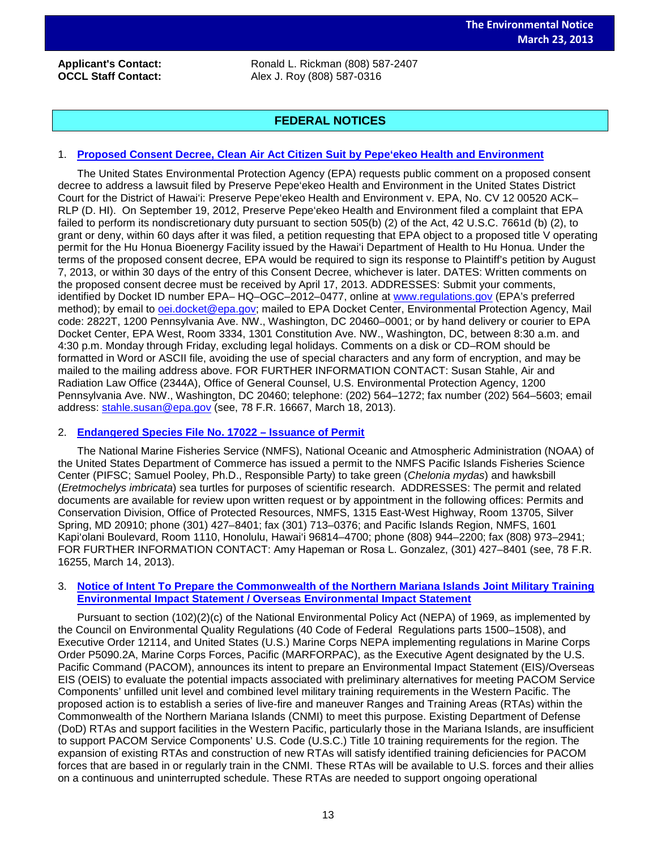**Applicant's Contact:** Ronald L. Rickman (808) 587-2407<br>
Ronald L. Rickman (808) 587-2407 **OCCL Staff Contact:** Alex J. Roy (808) 587-0316

# **FEDERAL NOTICES**

#### 1. **[Proposed Consent Decree, Clean Air Act Citizen Suit by Pepe'ekeo Health and Environment](http://www.gpo.gov/fdsys/pkg/FR-2013-03-18/pdf/2013-06194.pdf)**

The United States Environmental Protection Agency (EPA) requests public comment on a proposed consent decree to address a lawsuit filed by Preserve Pepe'ekeo Health and Environment in the United States District Court for the District of Hawai'i: Preserve Pepe'ekeo Health and Environment v. EPA, No. CV 12 00520 ACK– RLP (D. HI). On September 19, 2012, Preserve Pepe'ekeo Health and Environment filed a complaint that EPA failed to perform its nondiscretionary duty pursuant to section 505(b) (2) of the Act, 42 U.S.C. 7661d (b) (2), to grant or deny, within 60 days after it was filed, a petition requesting that EPA object to a proposed title V operating permit for the Hu Honua Bioenergy Facility issued by the Hawai'i Department of Health to Hu Honua. Under the terms of the proposed consent decree, EPA would be required to sign its response to Plaintiff's petition by August 7, 2013, or within 30 days of the entry of this Consent Decree, whichever is later. DATES: Written comments on the proposed consent decree must be received by April 17, 2013. ADDRESSES: Submit your comments, identified by Docket ID number EPA– HQ–OGC–2012–0477, online at [www.regulations.gov](http://www.regulations.gov/) (EPA's preferred method); by email to [oei.docket@epa.gov;](mailto:oei.docket@epa.gov) mailed to EPA Docket Center, Environmental Protection Agency, Mail code: 2822T, 1200 Pennsylvania Ave. NW., Washington, DC 20460–0001; or by hand delivery or courier to EPA Docket Center, EPA West, Room 3334, 1301 Constitution Ave. NW., Washington, DC, between 8:30 a.m. and 4:30 p.m. Monday through Friday, excluding legal holidays. Comments on a disk or CD–ROM should be formatted in Word or ASCII file, avoiding the use of special characters and any form of encryption, and may be mailed to the mailing address above. FOR FURTHER INFORMATION CONTACT: Susan Stahle, Air and Radiation Law Office (2344A), Office of General Counsel, U.S. Environmental Protection Agency, 1200 Pennsylvania Ave. NW., Washington, DC 20460; telephone: (202) 564–1272; fax number (202) 564–5603; email address: [stahle.susan@epa.gov](mailto:stahle.susan@epa.gov) (see, 78 F.R. 16667, March 18, 2013).

#### 2. **[Endangered Species File No. 17022 –](http://www.gpo.gov/fdsys/pkg/FR-2013-03-14/pdf/2013-05896.pdf) Issuance of Permit**

The National Marine Fisheries Service (NMFS), National Oceanic and Atmospheric Administration (NOAA) of the United States Department of Commerce has issued a permit to the NMFS Pacific Islands Fisheries Science Center (PIFSC; Samuel Pooley, Ph.D., Responsible Party) to take green (*Chelonia mydas*) and hawksbill (*Eretmochelys imbricata*) sea turtles for purposes of scientific research. ADDRESSES: The permit and related documents are available for review upon written request or by appointment in the following offices: Permits and Conservation Division, Office of Protected Resources, NMFS, 1315 East-West Highway, Room 13705, Silver Spring, MD 20910; phone (301) 427–8401; fax (301) 713–0376; and Pacific Islands Region, NMFS, 1601 Kapi'olani Boulevard, Room 1110, Honolulu, Hawai'i 96814–4700; phone (808) 944–2200; fax (808) 973–2941; FOR FURTHER INFORMATION CONTACT: Amy Hapeman or Rosa L. Gonzalez, (301) 427–8401 (see, 78 F.R. 16255, March 14, 2013).

#### 3. **[Notice of Intent To Prepare the Commonwealth of the Northern Mariana Islands Joint Military Training](http://www.gpo.gov/fdsys/pkg/FR-2013-03-14/pdf/2013-05837.pdf)  [Environmental Impact Statement / Overseas Environmental Impact Statement](http://www.gpo.gov/fdsys/pkg/FR-2013-03-14/pdf/2013-05837.pdf)**

Pursuant to section (102)(2)(c) of the National Environmental Policy Act (NEPA) of 1969, as implemented by the Council on Environmental Quality Regulations (40 Code of Federal Regulations parts 1500–1508), and Executive Order 12114, and United States (U.S.) Marine Corps NEPA implementing regulations in Marine Corps Order P5090.2A, Marine Corps Forces, Pacific (MARFORPAC), as the Executive Agent designated by the U.S. Pacific Command (PACOM), announces its intent to prepare an Environmental Impact Statement (EIS)/Overseas EIS (OEIS) to evaluate the potential impacts associated with preliminary alternatives for meeting PACOM Service Components' unfilled unit level and combined level military training requirements in the Western Pacific. The proposed action is to establish a series of live-fire and maneuver Ranges and Training Areas (RTAs) within the Commonwealth of the Northern Mariana Islands (CNMI) to meet this purpose. Existing Department of Defense (DoD) RTAs and support facilities in the Western Pacific, particularly those in the Mariana Islands, are insufficient to support PACOM Service Components' U.S. Code (U.S.C.) Title 10 training requirements for the region. The expansion of existing RTAs and construction of new RTAs will satisfy identified training deficiencies for PACOM forces that are based in or regularly train in the CNMI. These RTAs will be available to U.S. forces and their allies on a continuous and uninterrupted schedule. These RTAs are needed to support ongoing operational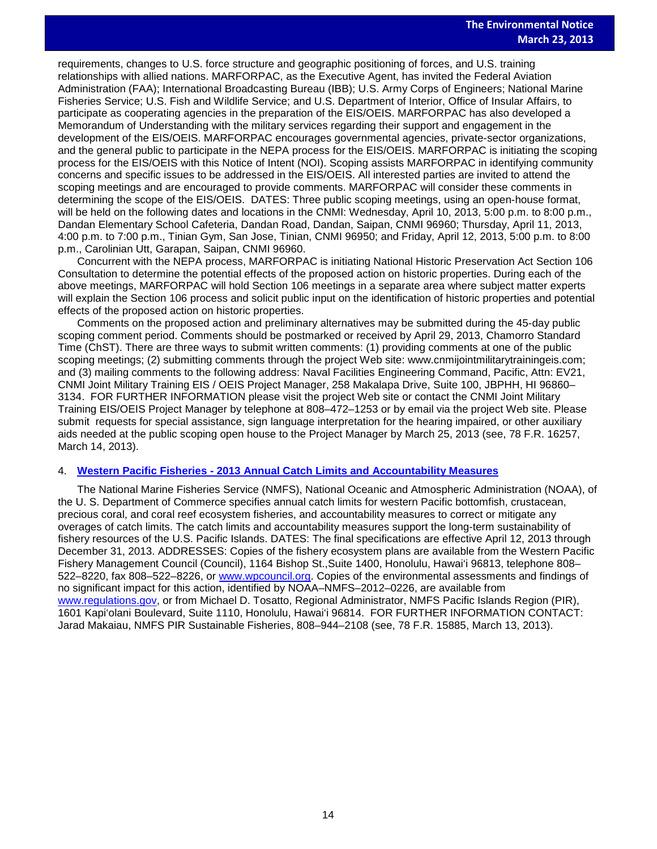requirements, changes to U.S. force structure and geographic positioning of forces, and U.S. training<br>relationships with allied patiens, MAREORRAC, as the Executive Agent, has invited the Eederal Aviati relationships with allied nations. MARFORPAC, as the Executive Agent, has invited the Federal Aviation Administration (FAA); International Broadcasting Bureau (IBB); U.S. Army Corps of Engineers; National Marine Fisheries Service; U.S. Fish and Wildlife Service; and U.S. Department of Interior, Office of Insular Affairs, to participate as cooperating agencies in the preparation of the EIS/OEIS. MARFORPAC has also developed a Memorandum of Understanding with the military services regarding their support and engagement in the development of the EIS/OEIS. MARFORPAC encourages governmental agencies, private-sector organizations, and the general public to participate in the NEPA process for the EIS/OEIS. MARFORPAC is initiating the scoping process for the EIS/OEIS with this Notice of Intent (NOI). Scoping assists MARFORPAC in identifying community concerns and specific issues to be addressed in the EIS/OEIS. All interested parties are invited to attend the scoping meetings and are encouraged to provide comments. MARFORPAC will consider these comments in determining the scope of the EIS/OEIS. DATES: Three public scoping meetings, using an open-house format, will be held on the following dates and locations in the CNMI: Wednesday, April 10, 2013, 5:00 p.m. to 8:00 p.m., Dandan Elementary School Cafeteria, Dandan Road, Dandan, Saipan, CNMI 96960; Thursday, April 11, 2013, 4:00 p.m. to 7:00 p.m., Tinian Gym, San Jose, Tinian, CNMI 96950; and Friday, April 12, 2013, 5:00 p.m. to 8:00 p.m., Carolinian Utt, Garapan, Saipan, CNMI 96960.

Concurrent with the NEPA process, MARFORPAC is initiating National Historic Preservation Act Section 106 Consultation to determine the potential effects of the proposed action on historic properties. During each of the above meetings, MARFORPAC will hold Section 106 meetings in a separate area where subject matter experts will explain the Section 106 process and solicit public input on the identification of historic properties and potential effects of the proposed action on historic properties.

Comments on the proposed action and preliminary alternatives may be submitted during the 45-day public scoping comment period. Comments should be postmarked or received by April 29, 2013, Chamorro Standard Time (ChST). There are three ways to submit written comments: (1) providing comments at one of the public scoping meetings; (2) submitting comments through the project Web site: www.cnmijointmilitarytrainingeis.com; and (3) mailing comments to the following address: Naval Facilities Engineering Command, Pacific, Attn: EV21, CNMI Joint Military Training EIS / OEIS Project Manager, 258 Makalapa Drive, Suite 100, JBPHH, HI 96860– 3134. FOR FURTHER INFORMATION please visit the project Web site or contact the CNMI Joint Military Training EIS/OEIS Project Manager by telephone at 808–472–1253 or by email via the project Web site. Please submit requests for special assistance, sign language interpretation for the hearing impaired, or other auxiliary aids needed at the public scoping open house to the Project Manager by March 25, 2013 (see, 78 F.R. 16257, March 14, 2013).

#### 4. **Western Pacific Fisheries - [2013 Annual Catch Limits and Accountability Measures](http://www.gpo.gov/fdsys/pkg/FR-2013-03-13/pdf/2013-05785.pdf)**

The National Marine Fisheries Service (NMFS), National Oceanic and Atmospheric Administration (NOAA), of the U. S. Department of Commerce specifies annual catch limits for western Pacific bottomfish, crustacean, precious coral, and coral reef ecosystem fisheries, and accountability measures to correct or mitigate any overages of catch limits. The catch limits and accountability measures support the long-term sustainability of fishery resources of the U.S. Pacific Islands. DATES: The final specifications are effective April 12, 2013 through December 31, 2013. ADDRESSES: Copies of the fishery ecosystem plans are available from the Western Pacific Fishery Management Council (Council), 1164 Bishop St.,Suite 1400, Honolulu, Hawai'i 96813, telephone 808– 522–8220, fax 808–522–8226, or [www.wpcouncil.org.](http://www.wpcouncil.org/) Copies of the environmental assessments and findings of no significant impact for this action, identified by NOAA–NMFS–2012–0226, are available from [www.regulations.gov,](http://www.regulations.gov/) or from Michael D. Tosatto, Regional Administrator, NMFS Pacific Islands Region (PIR), 1601 Kapi'olani Boulevard, Suite 1110, Honolulu, Hawai'i 96814. FOR FURTHER INFORMATION CONTACT: Jarad Makaiau, NMFS PIR Sustainable Fisheries, 808–944–2108 (see, 78 F.R. 15885, March 13, 2013).